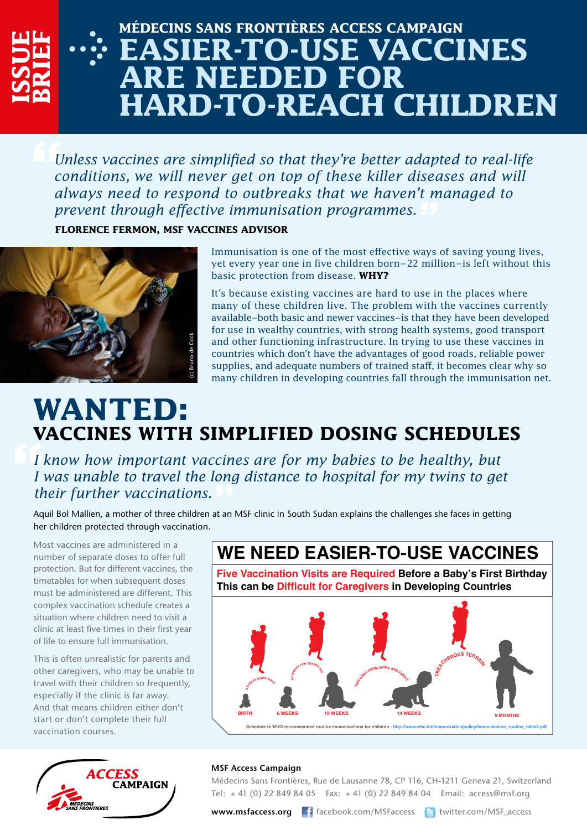## **Médecins Sans Frontières ACCESS CAMPAIGN Easier-to-use vaccines RE NEEDED FOR hard-to-reach children**

*Unless vaccines are simplified so that they're better adapted to real-life conditions, we will never get on top of these killer diseases and will always need to respond to outbreaks that we haven't managed to prevent through effective immunisation programmes.*

**Florence Fermon, MSF Vaccines Advisor**



**ISSUE**

**BRIE**

**F**

Immunisation is one of the most effective ways of saving young lives, yet every year one in five children born–22 million–is left without this basic protection from disease. **Why?**

It's because existing vaccines are hard to use in the places where many of these children live. The problem with the vaccines currently available–both basic and newer vaccines–is that they have been developed for use in wealthy countries, with strong health systems, good transport and other functioning infrastructure. In trying to use these vaccines in countries which don't have the advantages of good roads, reliable power supplies, and adequate numbers of trained staff, it becomes clear why so many children in developing countries fall through the immunisation net.

## **WANTED: vaccines with simplified dosing schedules**

*I know how important vaccines are for my babies to be healthy, but I was unable to travel the long distance to hospital for my twins to get their further vaccinations.*

Aquil Bol Mallien, a mother of three children at an MSF clinic in South Sudan explains the challenges she faces in getting her children protected through vaccination.

Most vaccines are administered in a number of separate doses to offer full protection. But for different vaccines, the timetables for when subsequent doses must be administered are different. This complex vaccination schedule creates a situation where children need to visit a clinic at least five times in their first year of life to ensure full immunisation.

This is often unrealistic for parents and other caregivers, who may be unable to travel with their children so frequently, especially if the clinic is far away. And that means children either don't start or don't complete their full vaccination courses.



### **Five Vaccination Visits are Required Before a Baby's First Birthday This can be Difficult for Caregivers in Developing Countries WE NEED EASIER-TO-USE VACCINES**



#### **MSF Access Campaign**

Médecins Sans Frontières, Rue de Lausanne 78, CP 116, CH-1211 Geneva 21, Switzerland Tel: + 41 (0) 22 849 84 05 Fax: + 41 (0) 22 849 84 04 Email: access@msf.org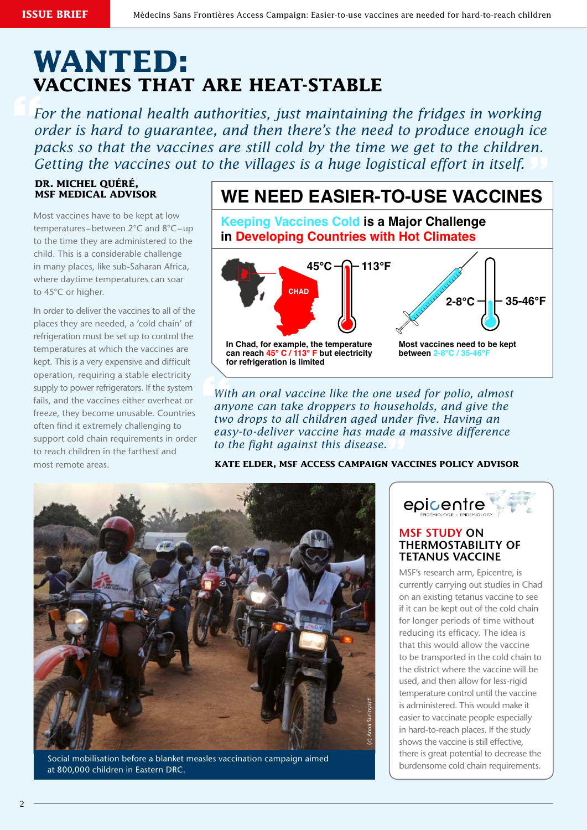### **WANTED: vaccines that are heat-stable**

*For the national health authorities, just maintaining the fridges in working order is hard to guarantee, and then there's the need to produce enough ice packs so that the vaccines are still cold by the time we get to the children. Getting the vaccines out to the villages is a huge logistical effort in itself.*

#### **Dr. Michel Quéré, MSF Medical Advisor**

Most vaccines have to be kept at low temperatures–between 2°C and 8°C–up to the time they are administered to the child. This is a considerable challenge in many places, like sub-Saharan Africa, where daytime temperatures can soar to 45°C or higher.

In order to deliver the vaccines to all of the places they are needed, a 'cold chain' of refrigeration must be set up to control the temperatures at which the vaccines are kept. This is a very expensive and difficult operation, requiring a stable electricity supply to power refrigerators. If the system fails, and the vaccines either overheat or freeze, they become unusable. Countries often find it extremely challenging to support cold chain requirements in order to reach children in the farthest and most remote areas.

### **WE NEED EASIER-TO-USE VACCINES**

**Keeping Vaccines Cold is a Major Challenge in Developing Countries with Hot Climates**



*With an oral vaccine like the one used for polio, almost anyone can take droppers to households, and give the two drops to all children aged under five. Having an easy-to-deliver vaccine has made a massive difference to the fight against this disease.*

**Kate Elder, MSF Access Campaign vaccines policy advisor** 



Social mobilisation before a blanket measles vaccination campaign aimed at 800,000 children in Eastern DRC.



#### **MSF Study on thermostability of tetanus vaccine**

MSF's research arm, Epicentre, is currently carrying out studies in Chad on an existing tetanus vaccine to see if it can be kept out of the cold chain for longer periods of time without reducing its efficacy. The idea is that this would allow the vaccine to be transported in the cold chain to the district where the vaccine will be used, and then allow for less-rigid temperature control until the vaccine is administered. This would make it easier to vaccinate people especially in hard-to-reach places. If the study shows the vaccine is still effective, there is great potential to decrease the burdensome cold chain requirements.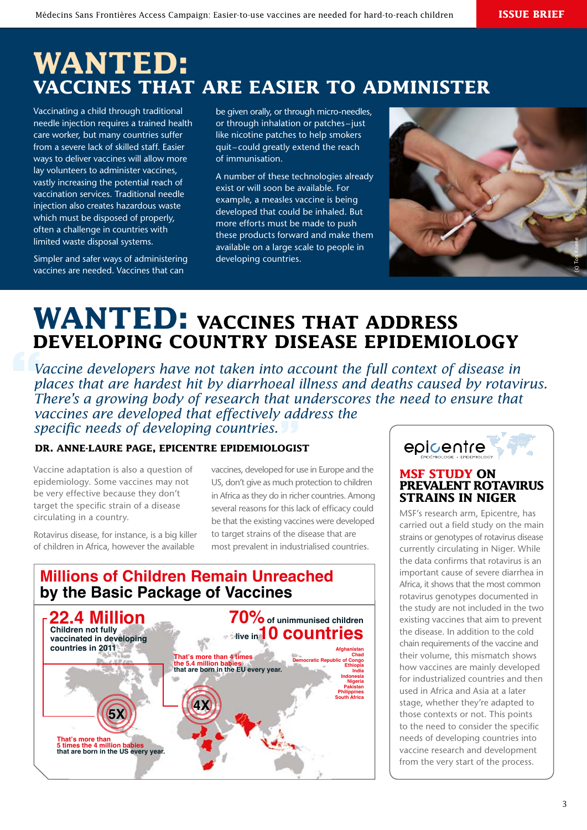### **Wanted: vaccines that are easier to administer**

Vaccinating a child through traditional needle injection requires a trained health care worker, but many countries suffer from a severe lack of skilled staff. Easier ways to deliver vaccines will allow more lay volunteers to administer vaccines, vastly increasing the potential reach of vaccination services. Traditional needle injection also creates hazardous waste which must be disposed of properly, often a challenge in countries with limited waste disposal systems.

Simpler and safer ways of administering vaccines are needed. Vaccines that can

be given orally, or through micro-needles, or through inhalation or patches-just like nicotine patches to help smokers quit –could greatly extend the reach of immunisation.

A number of these technologies already exist or will soon be available. For example, a measles vaccine is being developed that could be inhaled. But more efforts must be made to push these products forward and make them available on a large scale to people in developing countries.



### **WANTED: VACCINES THAT ADDRESS developing country disease epidemiology**

*Vaccine developers have not taken into account the full context of disease in places that are hardest hit by diarrhoeal illness and deaths caused by rotavirus. There's a growing body of research that underscores the need to ensure that vaccines are developed that effectively address the specific needs of developing countries.*

#### **Dr. Anne-Laure Page, Epicentre epidemiologist**

Vaccine adaptation is also a question of epidemiology. Some vaccines may not be very effective because they don't target the specific strain of a disease circulating in a country.

Rotavirus disease, for instance, is a big killer of children in Africa, however the available

vaccines, developed for use in Europe and the US, don't give as much protection to children in Africa as they do in richer countries. Among several reasons for this lack of efficacy could be that the existing vaccines were developed to target strains of the disease that are most prevalent in industrialised countries.

### **Millions of Children Remain Unreached by the Basic Package of Vaccines**





#### **MSF study on prevalent rotavirus strains in Niger**

MSF's research arm, Epicentre, has carried out a field study on the main strains or genotypes of rotavirus disease currently circulating in Niger. While the data confirms that rotavirus is an important cause of severe diarrhea in Africa, it shows that the most common rotavirus genotypes documented in the study are not included in the two existing vaccines that aim to prevent the disease. In addition to the cold chain requirements of the vaccine and their volume, this mismatch shows how vaccines are mainly developed for industrialized countries and then used in Africa and Asia at a later stage, whether they're adapted to those contexts or not. This points to the need to consider the specific needs of developing countries into vaccine research and development from the very start of the process.